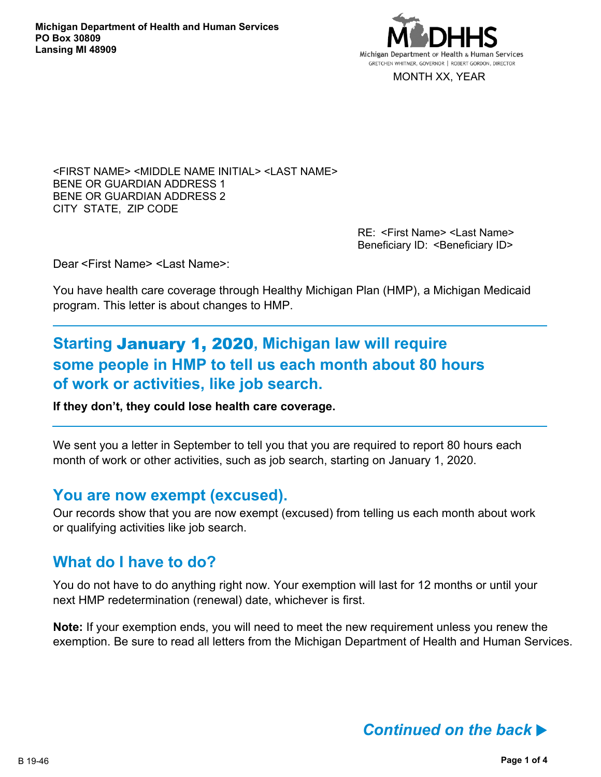

MONTH XX, YEAR

<FIRST NAME> <MIDDLE NAME INITIAL> <LAST NAME> BENE OR GUARDIAN ADDRESS 1 BENE OR GUARDIAN ADDRESS 2 CITY STATE, ZIP CODE

> RE: <First Name> <Last Name> Beneficiary ID: < Beneficiary ID>

Dear <First Name> <Last Name>:

You have health care coverage through Healthy Michigan Plan (HMP), a Michigan Medicaid program. This letter is about changes to HMP.

# **Starting** January 1, 2020**, Michigan law will require some people in HMP to tell us each month about 80 hours of work or activities, like job search.**

**If they don't, they could lose health care coverage.**

We sent you a letter in September to tell you that you are required to report 80 hours each month of work or other activities, such as job search, starting on January 1, 2020.

### **You are now exempt (excused).**

Our records show that you are now exempt (excused) from telling us each month about work or qualifying activities like job search.

### **What do I have to do?**

You do not have to do anything right now. Your exemption will last for 12 months or until your next HMP redetermination (renewal) date, whichever is first.

**Note:** If your exemption ends, you will need to meet the new requirement unless you renew the exemption. Be sure to read all letters from the Michigan Department of Health and Human Services.

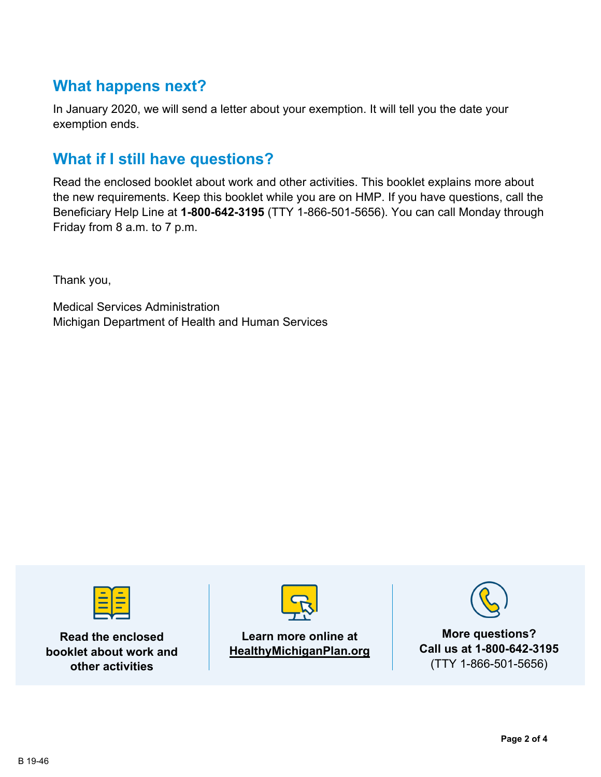## **What happens next?**

In January 2020, we will send a letter about your exemption. It will tell you the date your exemption ends.

## **What if I still have questions?**

Read the enclosed booklet about work and other activities. This booklet explains more about the new requirements. Keep this booklet while you are on HMP. If you have questions, call the Beneficiary Help Line at **1-800-642-3195** (TTY 1-866-501-5656). You can call Monday through Friday from 8 a.m. to 7 p.m.

Thank you,

Medical Services Administration Michigan Department of Health and Human Services



**Read the enclosed booklet about work and other activities**



#### **Learn more online at HealthyMichiganPlan.org**



**Call us at 1-800-642-3195** (TTY 1-866-501-5656)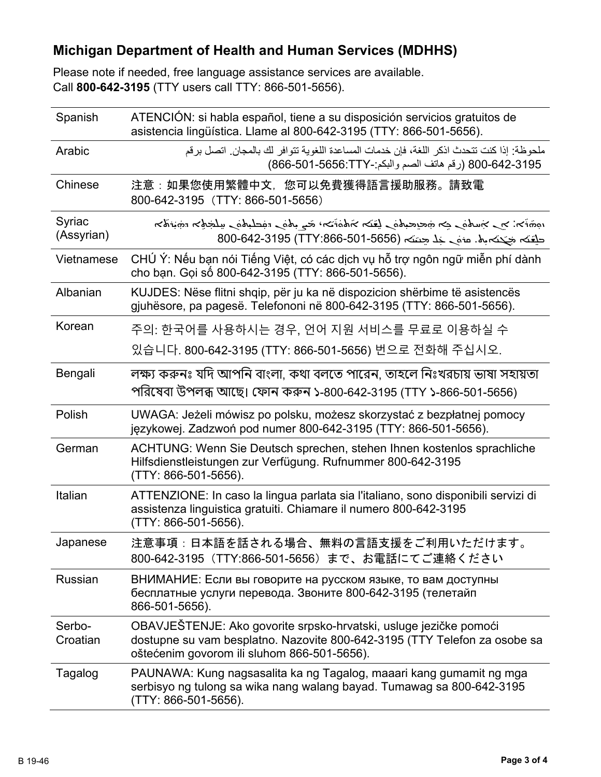## **Michigan Department of Health and Human Services (MDHHS)**

Please note if needed, free language assistance services are available. Call **800-642-3195** (TTY users call TTY: 866-501-5656).

| Spanish              | ATENCIÓN: si habla español, tiene a su disposición servicios gratuitos de<br>asistencia lingüística. Llame al 800-642-3195 (TTY: 866-501-5656).                                               |
|----------------------|-----------------------------------------------------------------------------------------------------------------------------------------------------------------------------------------------|
| Arabic               | ملحوظة: إذا كنت تتحدث اذكر اللغة، فإن خدمات المساعدة اللغوية تتوافر لك بالمجان. اتصل برقم<br>800-642-3195 (رقم هاتف الصم والبكم:-866-501-666-7)                                               |
| Chinese              | 注意:如果您使用繁體中文,您可以免費獲得語言援助服務。請致電<br>800-642-3195 (TTY: 866-501-5656)                                                                                                                            |
| Syriac<br>(Assyrian) | المخترجة المستحملية للمستحق والمستحمل والمتفاعل المستحمين المستحف المستحر والمستحرج المختصوم<br>حلقته جَحَته بِه. مزمَى خِلْا حِسَنَه (1565-501-5656-800-642-3195) 800-642-8195               |
| Vietnamese           | CHÚ Ý: Nếu bạn nói Tiếng Việt, có các dịch vụ hỗ trợ ngôn ngữ miễn phí dành<br>cho bạn. Gọi số 800-642-3195 (TTY: 866-501-5656).                                                              |
| Albanian             | KUJDES: Nëse flitni shqip, për ju ka në dispozicion shërbime të asistencës<br>gjuhësore, pa pagesë. Telefononi në 800-642-3195 (TTY: 866-501-5656).                                           |
| Korean               | 주의: 한국어를 사용하시는 경우, 언어 지원 서비스를 무료로 이용하실 수                                                                                                                                                      |
|                      | 있습니다. 800-642-3195 (TTY: 866-501-5656) 번으로 전화해 주십시오.                                                                                                                                          |
| Bengali              | লক্ষ্য করুনঃ যদি আপনি বাংলা, কথা বলতে পারেন, তাহলে নিঃখরচায় ভাষা সহায়তা<br>পরিষেবা উপলব্ধ আছে। ফোন করুন ১-800-642-3195 (TTY ১-866-501-5656)                                                 |
| Polish               | UWAGA: Jeżeli mówisz po polsku, możesz skorzystać z bezpłatnej pomocy<br>językowej. Zadzwoń pod numer 800-642-3195 (TTY: 866-501-5656).                                                       |
| German               | ACHTUNG: Wenn Sie Deutsch sprechen, stehen Ihnen kostenlos sprachliche<br>Hilfsdienstleistungen zur Verfügung. Rufnummer 800-642-3195<br>(TTY: 866-501-5656).                                 |
| Italian              | ATTENZIONE: In caso la lingua parlata sia l'italiano, sono disponibili servizi di<br>assistenza linguistica gratuiti. Chiamare il numero 800-642-3195<br>(TTY: 866-501-5656).                 |
| Japanese             | 注意事項:日本語を話される場合、無料の言語支援をご利用いただけます。<br>800-642-3195 (TTY:866-501-5656) まで、お電話にてご連絡ください                                                                                                         |
| <b>Russian</b>       | ВНИМАНИЕ: Если вы говорите на русском языке, то вам доступны<br>бесплатные услуги перевода. Звоните 800-642-3195 (телетайп<br>866-501-5656).                                                  |
| Serbo-<br>Croatian   | OBAVJEŠTENJE: Ako govorite srpsko-hrvatski, usluge jezičke pomoći<br>dostupne su vam besplatno. Nazovite 800-642-3195 (TTY Telefon za osobe sa<br>oštećenim govorom ili sluhom 866-501-5656). |
| Tagalog              | PAUNAWA: Kung nagsasalita ka ng Tagalog, maaari kang gumamit ng mga<br>serbisyo ng tulong sa wika nang walang bayad. Tumawag sa 800-642-3195<br>(TTY: 866-501-5656).                          |